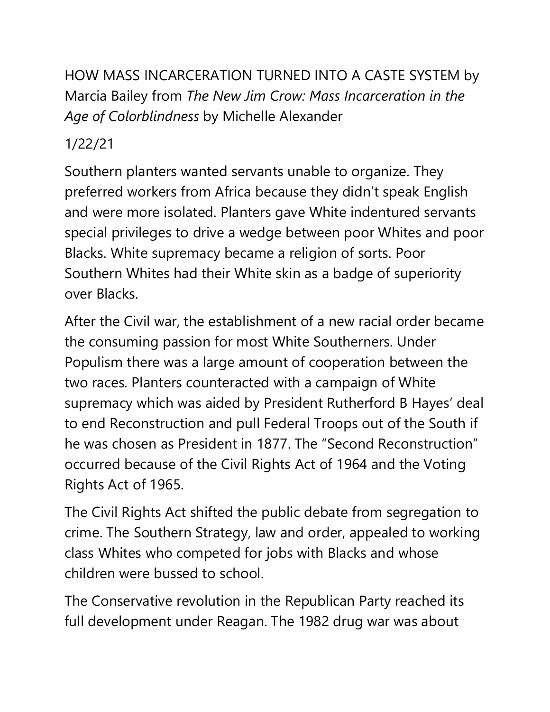HOW MASS INCARCERATION TURNED INTO A CASTE SYSTEM by Marcia Bailey from *The New Jim Crow: Mass Incarceration in the Age of Colorblindness* by Michelle Alexander

## 1/22/21

Southern planters wanted servants unable to organize. They preferred workers from Africa because they didn't speak English and were more isolated. Planters gave White indentured servants special privileges to drive a wedge between poor Whites and poor Blacks. White supremacy became a religion of sorts. Poor Southern Whites had their White skin as a badge of superiority over Blacks.

After the Civil war, the establishment of a new racial order became the consuming passion for most White Southerners. Under Populism there was a large amount of cooperation between the two races. Planters counteracted with a campaign of White supremacy which was aided by President Rutherford B Hayes' deal to end Reconstruction and pull Federal Troops out of the South if he was chosen as President in 1877. The "Second Reconstruction" occurred because of the Civil Rights Act of 1964 and the Voting Rights Act of 1965.

The Civil Rights Act shifted the public debate from segregation to crime. The Southern Strategy, law and order, appealed to working class Whites who competed for jobs with Blacks and whose children were bussed to school.

The Conservative revolution in the Republican Party reached its full development under Reagan. The 1982 drug war was about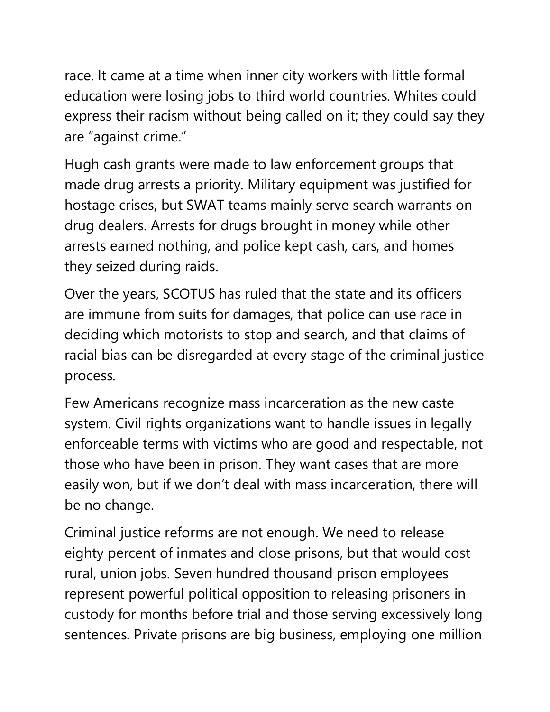race. It came at a time when inner city workers with little formal education were losing jobs to third world countries. Whites could express their racism without being called on it; they could say they are "against crime."

Hugh cash grants were made to law enforcement groups that made drug arrests a priority. Military equipment was justified for hostage crises, but SWAT teams mainly serve search warrants on drug dealers. Arrests for drugs brought in money while other arrests earned nothing, and police kept cash, cars, and homes they seized during raids.

Over the years, SCOTUS has ruled that the state and its officers are immune from suits for damages, that police can use race in deciding which motorists to stop and search, and that claims of racial bias can be disregarded at every stage of the criminal justice process.

Few Americans recognize mass incarceration as the new caste system. Civil rights organizations want to handle issues in legally enforceable terms with victims who are good and respectable, not those who have been in prison. They want cases that are more easily won, but if we don't deal with mass incarceration, there will be no change.

Criminal justice reforms are not enough. We need to release eighty percent of inmates and close prisons, but that would cost rural, union jobs. Seven hundred thousand prison employees represent powerful political opposition to releasing prisoners in custody for months before trial and those serving excessively long sentences. Private prisons are big business, employing one million